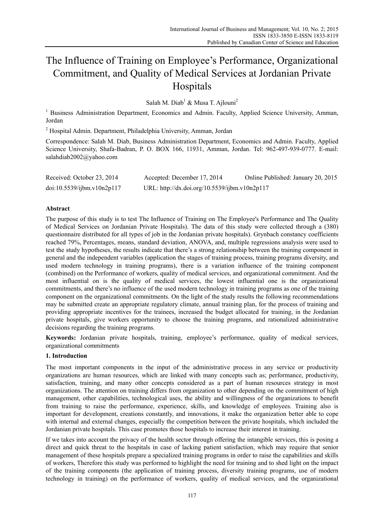# The Influence of Training on Employee's Performance, Organizational Commitment, and Quality of Medical Services at Jordanian Private Hospitals

Salah M. Diab<sup>1</sup> & Musa T. Ajlouni<sup>2</sup>

<sup>1</sup> Business Administration Department, Economics and Admin. Faculty, Applied Science University, Amman, Jordan

<sup>2</sup> Hospital Admin. Department, Philadelphia University, Amman, Jordan

Correspondence: Salah M. Diab, Business Administration Department, Economics and Admin. Faculty, Applied Science University, Shafa-Badran, P. O. BOX 166, 11931, Amman, Jordan. Tel: 962-497-939-0777. E-mail: salahdiab2002@yahoo.com

| Received: October 23, 2014 | Accepted: December 17, 2014                   | Online Published: January 20, 2015 |
|----------------------------|-----------------------------------------------|------------------------------------|
| doi:10.5539/ijbm.v10n2p117 | URL: http://dx.doi.org/10.5539/ijbm.v10n2p117 |                                    |

# **Abstract**

The purpose of this study is to test The Influence of Training on The Employee's Performance and The Quality of Medical Services on Jordanian Private Hospitals). The data of this study were collected through a (380) questionnaire distributed for all types of job in the Jordanian private hospitals). Grynbach constancy coefficients reached 79%, Percentages, means, standard deviation, ANOVA, and, multiple regressions analysis were used to test the study hypotheses, the results indicate that there's a strong relationship between the training component in general and the independent variables (application the stages of training process, training programs diversity, and used modern technology in training programs), there is a variation influence of the training component (combined) on the Performance of workers, quality of medical services, and organizational commitment. And the most influential on is the quality of medical services, the lowest influential one is the organizational commitments, and there's no influence of the used modern technology in training programs as one of the training component on the organizational commitments. On the light of the study results the following recommendations may be submitted create an appropriate regulatory climate, annual training plan, for the process of training and providing appropriate incentives for the trainees, increased the budget allocated for training, in the Jordanian private hospitals, give workers opportunity to choose the training programs, and rationalized administrative decisions regarding the training programs.

**Keywords:** Jordanian private hospitals, training, employee's performance, quality of medical services, organizational commitments

## **1. Introduction**

The most important components in the input of the administrative process in any service or productivity organizations are human resources, which are linked with many concepts such as; performance, productivity, satisfaction, training, and many other concepts considered as a part of human resources strategy in most organizations. The attention on training differs from organization to other depending on the commitment of high management, other capabilities, technological uses, the ability and willingness of the organizations to benefit from training to raise the performance, experience, skills, and knowledge of employees. Training also is important for development, creations constantly, and innovations, it make the organization better able to cope with internal and external changes, especially the competition between the private hospitals, which included the Jordanian private hospitals. This case promotes those hospitals to increase their interest in training.

If we takes into account the privacy of the health sector through offering the intangible services, this is posing a direct and quick threat to the hospitals in case of lacking patient satisfaction, which may require that senior management of these hospitals prepare a specialized training programs in order to raise the capabilities and skills of workers, Therefore this study was performed to highlight the need for training and to shed light on the impact of the training components (the application of training process, diversity training programs, use of modern technology in training) on the performance of workers, quality of medical services, and the organizational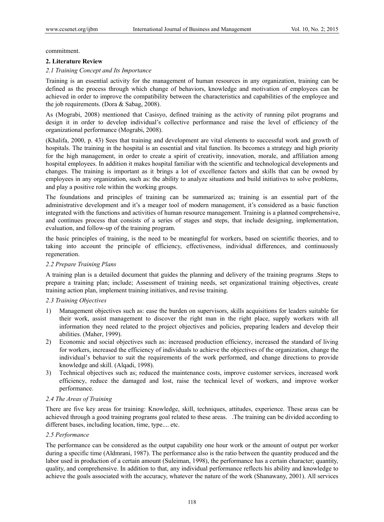commitment.

# **2. Literature Review**

# *2.1 Training Concept and Its Importance*

Training is an essential activity for the management of human resources in any organization, training can be defined as the process through which change of behaviors, knowledge and motivation of employees can be achieved in order to improve the compatibility between the characteristics and capabilities of the employee and the job requirements. (Dora & Sabag, 2008).

As (Mograbi, 2008) mentioned that Casisyo, defined training as the activity of running pilot programs and design it in order to develop individual's collective performance and raise the level of efficiency of the organizational performance (Mograbi, 2008).

(Khalifa, 2000, p. 43) Sees that training and development are vital elements to successful work and growth of hospitals. The training in the hospital is an essential and vital function. Its becomes a strategy and high priority for the high management, in order to create a spirit of creativity, innovation, morale, and affiliation among hospital employees. In addition it makes hospital familiar with the scientific and technological developments and changes. The training is important as it brings a lot of excellence factors and skills that can be owned by employees in any organization, such as: the ability to analyze situations and build initiatives to solve problems, and play a positive role within the working groups.

The foundations and principles of training can be summarized as; training is an essential part of the administrative development and it's a meager tool of modern management, it's considered as a basic function integrated with the functions and activities of human resource management. Training is a planned comprehensive, and continues process that consists of a series of stages and steps, that include designing, implementation, evaluation, and follow-up of the training program.

the basic principles of training, is the need to be meaningful for workers, based on scientific theories, and to taking into account the principle of efficiency, effectiveness, individual differences, and continuously regeneration.

# *2.2 Prepare Training Plans*

A training plan is a detailed document that guides the planning and delivery of the training programs .Steps to prepare a training plan; include; Assessment of training needs, set organizational training objectives, create training action plan, implement training initiatives, and revise training.

## *2.3 Training Objectives*

- 1) Management objectives such as: ease the burden on supervisors, skills acquisitions for leaders suitable for their work, assist management to discover the right man in the right place, supply workers with all information they need related to the project objectives and policies, preparing leaders and develop their abilities. (Maher, 1999).
- 2) Economic and social objectives such as: increased production efficiency, increased the standard of living for workers, increased the efficiency of individuals to achieve the objectives of the organization, change the individual's behavior to suit the requirements of the work performed, and change directions to provide knowledge and skill. (Alqadi, 1998).
- 3) Technical objectives such as; reduced the maintenance costs, improve customer services, increased work efficiency, reduce the damaged and lost, raise the technical level of workers, and improve worker performance.

## *2.4 The Areas of Training*

There are five key areas for training: Knowledge, skill, techniques, attitudes, experience. These areas can be achieved through a good training programs goal related to these areas. .The training can be divided according to different bases, including location, time, type.... etc.

# *2.5 Performance*

The performance can be considered as the output capability one hour work or the amount of output per worker during a specific time (Aldmrani, 1987). The performance also is the ratio between the quantity produced and the labor used in production of a certain amount (Suleiman, 1998), the performance has a certain character; quantity, quality, and comprehensive. In addition to that, any individual performance reflects his ability and knowledge to achieve the goals associated with the accuracy, whatever the nature of the work (Shanawany, 2001). All services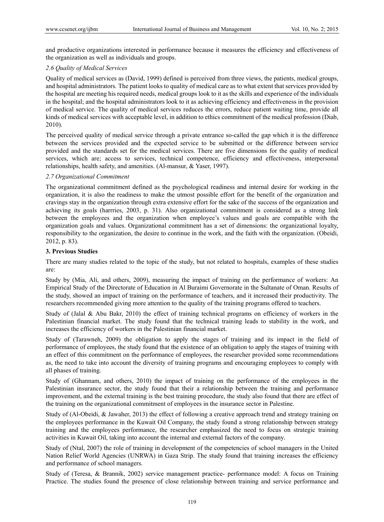and productive organizations interested in performance because it measures the efficiency and effectiveness of the organization as well as individuals and groups.

## *2.6 Quality of Medical Services*

Quality of medical services as (David, 1999) defined is perceived from three views, the patients, medical groups, and hospital administrators. The patient looks to quality of medical care as to what extent that services provided by the hospital are meeting his required needs, medical groups look to it as the skills and experience of the individuals in the hospital; and the hospital administrators look to it as achieving efficiency and effectiveness in the provision of medical service. The quality of medical services reduces the errors, reduce patient waiting time, provide all kinds of medical services with acceptable level, in addition to ethics commitment of the medical profession (Diab, 2010).

The perceived quality of medical service through a private entrance so-called the gap which it is the difference between the services provided and the expected service to be submitted or the difference between service provided and the standards set for the medical services. There are five dimensions for the quality of medical services, which are; access to services, technical competence, efficiency and effectiveness, interpersonal relationships, health safety, and amenities. (Al-mansur, & Yaser, 1997).

## *2.7 Organizational Commitment*

The organizational commitment defined as the psychological readiness and internal desire for working in the organization, it is also the readiness to make the utmost possible effort for the benefit of the organization and cravings stay in the organization through extra extensive effort for the sake of the success of the organization and achieving its goals (harrries, 2003, p. 31). Also organizational commitment is considered as a strong link between the employees and the organization when employee's values and goals are compatible with the organization goals and values. Organizational commitment has a set of dimensions: the organizational loyalty, responsibility to the organization, the desire to continue in the work, and the faith with the organization. (Obeidi, 2012, p. 83).

## **3. Previous Studies**

There are many studies related to the topic of the study, but not related to hospitals, examples of these studies are:

Study by (Mia, Ali, and others, 2009), measuring the impact of training on the performance of workers: An Empirical Study of the Directorate of Education in Al Buraimi Governorate in the Sultanate of Oman. Results of the study, showed an impact of training on the performance of teachers, and it increased their productivity. The researchers recommended giving more attention to the quality of the training programs offered to teachers.

Study of (Jalal & Abu Bakr, 2010) the effect of training technical programs on efficiency of workers in the Palestinian financial market. The study found that the technical training leads to stability in the work, and increases the efficiency of workers in the Palestinian financial market.

Study of (Tarawneh, 2009) the obligation to apply the stages of training and its impact in the field of performance of employees, the study found that the existence of an obligation to apply the stages of training with an effect of this commitment on the performance of employees, the researcher provided some recommendations as, the need to take into account the diversity of training programs and encouraging employees to comply with all phases of training.

Study of (Ghannam, and others, 2010) the impact of training on the performance of the employees in the Palestinian insurance sector, the study found that their a relationship between the training and performance improvement, and the external training is the best training procedure, the study also found that there are effect of the training on the organizational commitment of employees in the insurance sector in Palestine.

Study of (Al-Obeidi, & Jawaher, 2013) the effect of following a creative approach trend and strategy training on the employees performance in the Kuwait Oil Company, the study found a strong relationship between strategy training and the employees performance, the researcher emphasized the need to focus on strategic training activities in Kuwait Oil, taking into account the internal and external factors of the company.

Study of (Ntal, 2007) the role of training in development of the competencies of school managers in the United Nation Relief World Agencies (UNRWA) in Gaza Strip. The study found that training increases the efficiency and performance of school managers.

Study of (Teresa, & Brannik, 2002) service management practice- performance model: A focus on Training Practice. The studies found the presence of close relationship between training and service performance and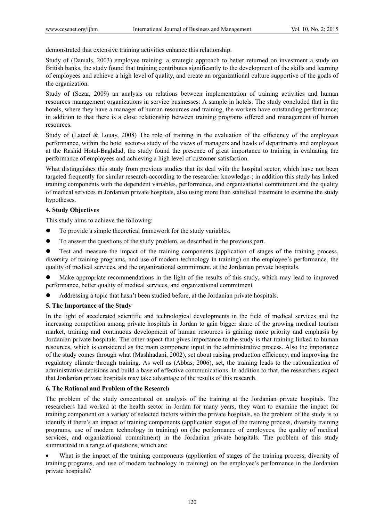demonstrated that extensive training activities enhance this relationship.

Study of (Danials, 2003) employee training: a strategic approach to better returned on investment a study on British banks, the study found that training contributes significantly to the development of the skills and learning of employees and achieve a high level of quality, and create an organizational culture supportive of the goals of the organization.

Study of (Sezar, 2009) an analysis on relations between implementation of training activities and human resources management organizations in service businesses: A sample in hotels. The study concluded that in the hotels, where they have a manager of human resources and training, the workers have outstanding performance; in addition to that there is a close relationship between training programs offered and management of human resources.

Study of (Lateef  $&$  Louay, 2008) The role of training in the evaluation of the efficiency of the employees performance, within the hotel sector-a study of the views of managers and heads of departments and employees at the Rashid Hotel-Baghdad, the study found the presence of great importance to training in evaluating the performance of employees and achieving a high level of customer satisfaction.

What distinguishes this study from previous studies that its deal with the hospital sector, which have not been targeted frequently for similar research-according to the researcher knowledge-; in addition this study has linked training components with the dependent variables, performance, and organizational commitment and the quality of medical services in Jordanian private hospitals, also using more than statistical treatment to examine the study hypotheses.

## **4. Study Objectives**

This study aims to achieve the following:

- To provide a simple theoretical framework for the study variables.
- To answer the questions of the study problem, as described in the previous part.

 Test and measure the impact of the training components (application of stages of the training process, diversity of training programs, and use of modern technology in training) on the employee's performance, the quality of medical services, and the organizational commitment, at the Jordanian private hospitals.

 Make appropriate recommendations in the light of the results of this study, which may lead to improved performance, better quality of medical services, and organizational commitment

Addressing a topic that hasn't been studied before, at the Jordanian private hospitals.

#### **5. The Importance of the Study**

In the light of accelerated scientific and technological developments in the field of medical services and the increasing competition among private hospitals in Jordan to gain bigger share of the growing medical tourism market, training and continuous development of human resources is gaining more priority and emphasis by Jordanian private hospitals. The other aspect that gives importance to the study is that training linked to human resources, which is considered as the main component input in the administrative process. Also the importance of the study comes through what (Mashhadani, 2002), set about raising production efficiency, and improving the regulatory climate through training. As well as (Abbas, 2006), set, the training leads to the rationalization of administrative decisions and build a base of effective communications. In addition to that, the researchers expect that Jordanian private hospitals may take advantage of the results of this research.

## **6. The Rational and Problem of the Research**

The problem of the study concentrated on analysis of the training at the Jordanian private hospitals. The researchers had worked at the health sector in Jordan for many years, they want to examine the impact for training component on a variety of selected factors within the private hospitals, so the problem of the study is to identify if there's an impact of training components (application stages of the training process, diversity training programs, use of modern technology in training) on (the performance of employees, the quality of medical services, and organizational commitment) in the Jordanian private hospitals. The problem of this study summarized in a range of questions, which are:

 What is the impact of the training components (application of stages of the training process, diversity of training programs, and use of modern technology in training) on the employee's performance in the Jordanian private hospitals?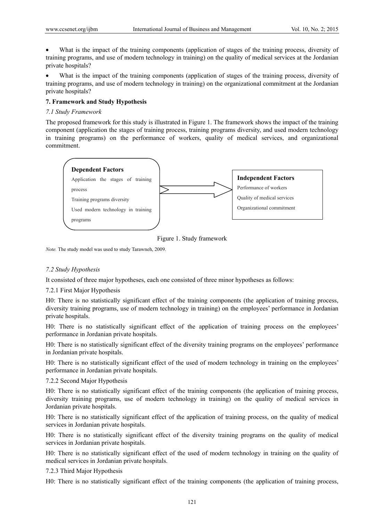What is the impact of the training components (application of stages of the training process, diversity of training programs, and use of modern technology in training) on the quality of medical services at the Jordanian private hospitals?

 What is the impact of the training components (application of stages of the training process, diversity of training programs, and use of modern technology in training) on the organizational commitment at the Jordanian private hospitals?

# **7. Framework and Study Hypothesis**

#### *7.1 Study Framework*

The proposed framework for this study is illustrated in Figure 1. The framework shows the impact of the training component (application the stages of training process, training programs diversity, and used modern technology in training programs) on the performance of workers, quality of medical services, and organizational commitment.



Figure 1. Study framework

*Note.* The study model was used to study Tarawneh, 2009.

## *7.2 Study Hypothesis*

It consisted of three major hypotheses, each one consisted of three minor hypotheses as follows:

#### 7.2.1 First Major Hypothesis

H0: There is no statistically significant effect of the training components (the application of training process, diversity training programs, use of modern technology in training) on the employees' performance in Jordanian private hospitals.

H0: There is no statistically significant effect of the application of training process on the employees' performance in Jordanian private hospitals.

H0: There is no statistically significant effect of the diversity training programs on the employees' performance in Jordanian private hospitals.

H0: There is no statistically significant effect of the used of modern technology in training on the employees' performance in Jordanian private hospitals.

#### 7.2.2 Second Major Hypothesis

H0: There is no statistically significant effect of the training components (the application of training process, diversity training programs, use of modern technology in training) on the quality of medical services in Jordanian private hospitals.

H0: There is no statistically significant effect of the application of training process, on the quality of medical services in Jordanian private hospitals.

H0: There is no statistically significant effect of the diversity training programs on the quality of medical services in Jordanian private hospitals.

H0: There is no statistically significant effect of the used of modern technology in training on the quality of medical services in Jordanian private hospitals.

## 7.2.3 Third Major Hypothesis

H0: There is no statistically significant effect of the training components (the application of training process,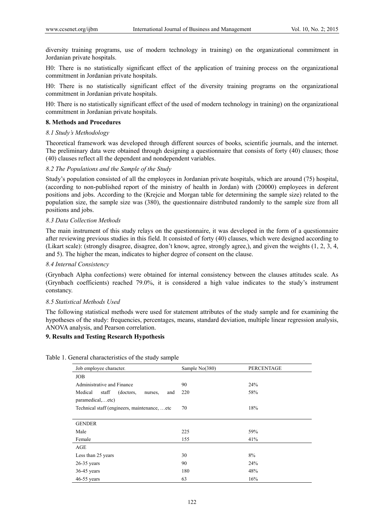diversity training programs, use of modern technology in training) on the organizational commitment in Jordanian private hospitals.

H0: There is no statistically significant effect of the application of training process on the organizational commitment in Jordanian private hospitals.

H0: There is no statistically significant effect of the diversity training programs on the organizational commitment in Jordanian private hospitals.

H0: There is no statistically significant effect of the used of modern technology in training) on the organizational commitment in Jordanian private hospitals.

## **8. Methods and Procedures**

#### *8.1 Study's Methodology*

Theoretical framework was developed through different sources of books, scientific journals, and the internet. The preliminary data were obtained through designing a questionnaire that consists of forty (40) clauses; those (40) clauses reflect all the dependent and nondependent variables.

#### *8.2 The Populations and the Sample of the Study*

Study's population consisted of all the employees in Jordanian private hospitals, which are around (75) hospital, (according to non-published report of the ministry of health in Jordan) with (20000) employees in deferent positions and jobs. According to the (Krejcie and Morgan table for determining the sample size) related to the population size, the sample size was (380), the questionnaire distributed randomly to the sample size from all positions and jobs.

#### *8.3 Data Collection Methods*

The main instrument of this study relays on the questionnaire, it was developed in the form of a questionnaire after reviewing previous studies in this field. It consisted of forty (40) clauses, which were designed according to (Likart scale): (strongly disagree, disagree, don't know, agree, strongly agree,), and given the weights (1, 2, 3, 4, and 5). The higher the mean, indicates to higher degree of consent on the clause.

## *8.4 Internal Consistency*

(Grynbach Alpha confections) were obtained for internal consistency between the clauses attitudes scale. As (Grynbach coefficients) reached 79.0%, it is considered a high value indicates to the study's instrument constancy.

#### *8.5 Statistical Methods Used*

The following statistical methods were used for statement attributes of the study sample and for examining the hypotheses of the study: frequencies, percentages, means, standard deviation, multiple linear regression analysis, ANOVA analysis, and Pearson correlation.

# **9. Results and Testing Research Hypothesis**

| Job employee character.                         | Sample No(380) | <b>PERCENTAGE</b> |
|-------------------------------------------------|----------------|-------------------|
| <b>JOB</b>                                      |                |                   |
| Administrative and Finance                      | 90             | 24%               |
| Medical<br>staff<br>(doctors,<br>and<br>nurses, | 220            | 58%               |
| paramedical,etc)                                |                |                   |
| Technical staff (engineers, maintenance,  etc.  | 70             | 18%               |
|                                                 |                |                   |
| <b>GENDER</b>                                   |                |                   |
| Male                                            | 225            | 59%               |
| Female                                          | 155            | 41%               |
| AGE                                             |                |                   |
| Less than 25 years                              | 30             | 8%                |
| $26-35$ years                                   | 90             | 24%               |
| $36-45$ years                                   | 180            | 48%               |
| $46-55$ years                                   | 63             | 16%               |

Table 1. General characteristics of the study sample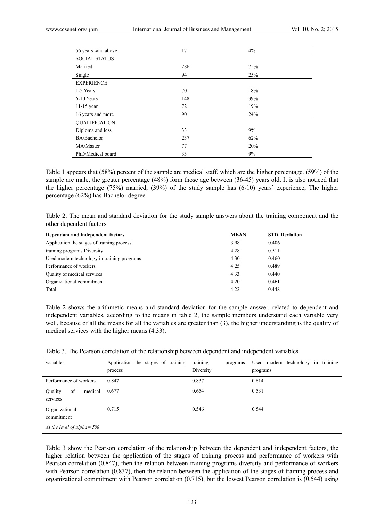| 17  | 4%  |  |
|-----|-----|--|
|     |     |  |
| 286 | 75% |  |
| 94  | 25% |  |
|     |     |  |
| 70  | 18% |  |
| 148 | 39% |  |
| 72  | 19% |  |
| 90  | 24% |  |
|     |     |  |
| 33  | 9%  |  |
| 237 | 62% |  |
| 77  | 20% |  |
| 33  | 9%  |  |
|     |     |  |

Table 1 appears that (58%) percent of the sample are medical staff, which are the higher percentage. (59%) of the sample are male, the greater percentage (48%) form those age between (36-45) years old, It is also noticed that the higher percentage (75%) married, (39%) of the study sample has (6-10) years' experience, The higher percentage (62%) has Bachelor degree.

Table 2. The mean and standard deviation for the study sample answers about the training component and the other dependent factors

| Dependant and independent factors           | <b>MEAN</b> | <b>STD. Deviation</b> |
|---------------------------------------------|-------------|-----------------------|
| Application the stages of training process  | 3.98        | 0.406                 |
| training programs Diversity                 | 4.28        | 0.511                 |
| Used modern technology in training programs | 4.30        | 0.460                 |
| Performance of workers                      | 4.25        | 0.489                 |
| Quality of medical services                 | 4.33        | 0.440                 |
| Organizational commitment                   | 4.20        | 0.461                 |
| Total                                       | 4.22        | 0.448                 |

Table 2 shows the arithmetic means and standard deviation for the sample answer, related to dependent and independent variables, according to the means in table 2, the sample members understand each variable very well, because of all the means for all the variables are greater than (3), the higher understanding is the quality of medical services with the higher means (4.33).

|  |  | Table 3. The Pearson correlation of the relationship between dependent and independent variables |  |  |  |  |  |  |  |  |
|--|--|--------------------------------------------------------------------------------------------------|--|--|--|--|--|--|--|--|
|--|--|--------------------------------------------------------------------------------------------------|--|--|--|--|--|--|--|--|

| variables                            | Application the stages of training<br>process | training<br>programs<br>Diversity | training<br>Used modern technology<br>in<br>programs |
|--------------------------------------|-----------------------------------------------|-----------------------------------|------------------------------------------------------|
| Performance of workers               | 0.847                                         | 0.837                             | 0.614                                                |
| of<br>Quality<br>medical<br>services | 0.677                                         | 0.654                             | 0.531                                                |
| Organizational<br>commitment         | 0.715                                         | 0.546                             | 0.544                                                |
| At the level of alpha= $5\%$         |                                               |                                   |                                                      |

Table 3 show the Pearson correlation of the relationship between the dependent and independent factors, the higher relation between the application of the stages of training process and performance of workers with Pearson correlation (0.847), then the relation between training programs diversity and performance of workers with Pearson correlation (0.837), then the relation between the application of the stages of training process and organizational commitment with Pearson correlation (0.715), but the lowest Pearson correlation is (0.544) using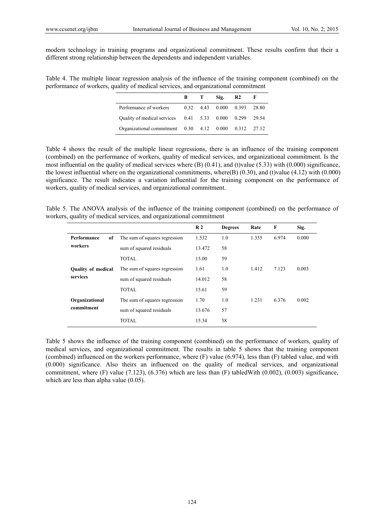modern technology in training programs and organizational commitment. These results confirm that their a different strong relationship between the dependents and independent variables.

Table 4. The multiple linear regression analysis of the influence of the training component (combined) on the performance of workers, quality of medical services, and organizational commitment

|                                                         | B | $\mathbf{T}$ | Sig.                      | R <sub>2</sub> |       |
|---------------------------------------------------------|---|--------------|---------------------------|----------------|-------|
| Performance of workers                                  |   |              | $0.32$ 4.43 $0.000$ 0.393 |                | 28.80 |
| Ouality of medical services 0.41 5.33 0.000 0.299 29.54 |   |              |                           |                |       |
| Organizational commitment 0.30 4.12 0.000               |   |              |                           | 0.312 27.12    |       |

Table 4 shows the result of the multiple linear regressions, there is an influence of the training component (combined) on the performance of workers, quality of medical services, and organizational commitment. Is the most influential on the quality of medical services where  $(B)$  (0.41), and (t)value (5.33) with (0.000) significance, the lowest influential where on the organizational commitments, where(B) (0.30), and (t)value (4.12) with (0.000) significance. The result indicates a variation influential for the training component on the performance of workers, quality of medical services, and organizational commitment.

Table 5. The ANOVA analysis of the influence of the training component (combined) on the performance of workers, quality of medical services, and organizational commitment

|                                                                |                               | R <sub>2</sub> | <b>Degrees</b> | Rate  | F     | Sig.  |
|----------------------------------------------------------------|-------------------------------|----------------|----------------|-------|-------|-------|
| Performance<br>of<br>workers<br>Quality of medical<br>services | The sum of squares regression | 1.532          | 1.0            | 1.355 | 6.974 | 0.000 |
|                                                                | sum of squared residuals      | 13.472         | 58             |       |       |       |
|                                                                | <b>TOTAL</b>                  | 15.00          | 59             |       |       |       |
|                                                                | The sum of squares regression | 1.61           | 1.0            | 1.412 | 7.123 | 0.003 |
|                                                                | sum of squared residuals      | 14.012         | 58             |       |       |       |
|                                                                | <b>TOTAL</b>                  | 15.61          | 59             |       |       |       |
| Organizational<br>commitment                                   | The sum of squares regression | 1.70           | 1.0            | 1.231 | 6.376 | 0.002 |
|                                                                | sum of squared residuals      | 13.676         | 57             |       |       |       |
|                                                                | <b>TOTAL</b>                  | 15.34          | 58             |       |       |       |

Table 5 shows the influence of the training component (combined) on the performance of workers, quality of medical services, and organizational commitment. The results in table 5 shows that the training component (combined) influenced on the workers performance, where (F) value (6.974), less than (F) tabled value, and with (0.000) significance. Also theirs an influenced on the quality of medical services, and organizational commitment, where (F) value (7.123), (6.376) which are less than (F) tabledWith (0.002), (0.003) significance, which are less than alpha value (0.05).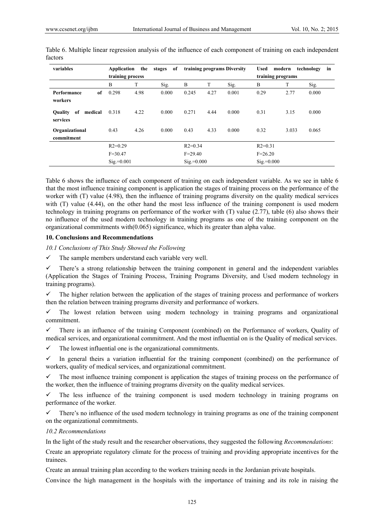| variables                                   | of<br>the<br>Application<br>stages |      |       |               | training programs Diversity |       | <b>Used</b> | modern            | technology<br>in |  |
|---------------------------------------------|------------------------------------|------|-------|---------------|-----------------------------|-------|-------------|-------------------|------------------|--|
|                                             | training process                   |      |       |               |                             |       |             | training programs |                  |  |
|                                             | B<br>Sig.<br>T                     |      |       | B             | T                           | Sig.  | B           | T                 | Sig.             |  |
| of<br>Performance<br>workers                | 0.298                              | 4.98 | 0.000 | 0.245         | 4.27                        | 0.001 | 0.29        | 2.77              | 0.000            |  |
| <b>Ouality</b><br>of<br>medical<br>services | 4.22<br>0.000<br>0.318             |      | 0.271 | 4.44<br>0.000 |                             | 0.31  | 3.15        | 0.000             |                  |  |
| Organizational<br>commitment                | 0.43                               | 4.26 | 0.000 | 0.43          | 4.33                        | 0.000 | 0.32        | 3.033             | 0.065            |  |
|                                             | $R2=0.29$                          |      |       | $R2=0.34$     |                             |       | $R2=0.31$   |                   |                  |  |
|                                             | $F = 30.47$                        |      |       | $F = 29.40$   |                             |       | $F = 26.20$ |                   |                  |  |
|                                             | $\text{Sig}=0.001$                 |      |       |               | $Sig = 0.000$               |       |             | $Sig = 0.000$     |                  |  |

Table 6. Multiple linear regression analysis of the influence of each component of training on each independent factors

Table 6 shows the influence of each component of training on each independent variable. As we see in table 6 that the most influence training component is application the stages of training process on the performance of the worker with (T) value (4.98), then the influence of training programs diversity on the quality medical services with (T) value (4.44), on the other hand the most less influence of the training component is used modern technology in training programs on performance of the worker with (T) value (2.77), table (6) also shows their no influence of the used modern technology in training programs as one of the training component on the organizational commitments with(0.065) significance, which its greater than alpha value.

#### **10. Conclusions and Recommendations**

*10.1 Conclusions of This Study Showed the Following* 

 $\checkmark$  The sample members understand each variable very well.

 $\checkmark$  There's a strong relationship between the training component in general and the independent variables (Application the Stages of Training Process, Training Programs Diversity, and Used modern technology in training programs).

 The higher relation between the application of the stages of training process and performance of workers then the relation between training programs diversity and performance of workers.

 $\checkmark$  The lowest relation between using modern technology in training programs and organizational commitment.

 $\checkmark$  There is an influence of the training Component (combined) on the Performance of workers, Quality of medical services, and organizational commitment. And the most influential on is the Quality of medical services.

 $\checkmark$  The lowest influential one is the organizational commitments.

 $\checkmark$  In general theirs a variation influential for the training component (combined) on the performance of workers, quality of medical services, and organizational commitment.

 $\checkmark$  The most influence training component is application the stages of training process on the performance of the worker, then the influence of training programs diversity on the quality medical services.

 $\checkmark$  The less influence of the training component is used modern technology in training programs on performance of the worker.

 $\checkmark$  There's no influence of the used modern technology in training programs as one of the training component on the organizational commitments.

## *10.2 Recommendations*

In the light of the study result and the researcher observations, they suggested the following *Recommendations*:

Create an appropriate regulatory climate for the process of training and providing appropriate incentives for the trainees.

Create an annual training plan according to the workers training needs in the Jordanian private hospitals.

Convince the high management in the hospitals with the importance of training and its role in raising the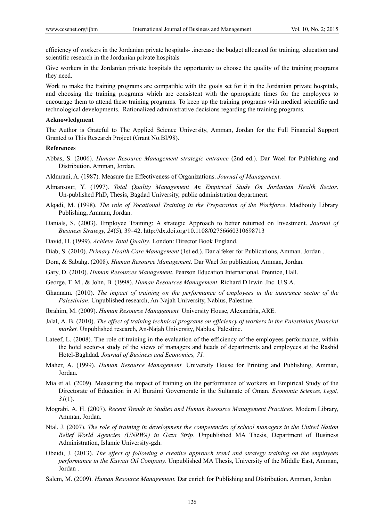efficiency of workers in the Jordanian private hospitals - increase the budget allocated for training, education and scientific research in the Jordanian private hospitals

Give workers in the Jordanian private hospitals the opportunity to choose the quality of the training programs they need.

Work to make the training programs are compatible with the goals set for it in the Jordanian private hospitals, and choosing the training programs which are consistent with the appropriate times for the employees to encourage them to attend these training programs. To keep up the training programs with medical scientific and technological developments. Rationalized administrative decisions regarding the training programs.

## **Acknowledgment**

The Author is Grateful to The Applied Science University, Amman, Jordan for the Full Financial Support Granted to This Research Project (Grant No.BI/98).

## **References**

- Abbas, S. (2006). *Human Resource Management strategic entrance* (2nd ed.). Dar Wael for Publishing and Distribution, Amman, Jordan.
- Aldmrani, A. (1987). Measure the Effectiveness of Organizations. *Journal of Management.*
- Almansour, Y. (1997). *Total Quality Management An Empirical Study On Jordanian Health Sector*. Un-published PhD, Thesis, Bagdad University, public administration department.
- Alqadi, M. (1998). *The role of Vocational Training in the Preparation of the Workforce*. Madbouly Library Publishing, Amman, Jordan.
- Danials, S. (2003). Employee Training: A strategic Approach to better returned on Investment. *Journal of Business Strategy, 24*(5), 39–42. http://dx.doi.org/10.1108/02756660310698713
- David, H. (1999). *Achieve Total Quality*. London: Director Book England.
- Diab, S. (2010). *Primary Health Care Management* (1st ed.). Dar alfeker for Publications, Amman. Jordan .
- Dora, & Sabahg. (2008). *Human Resource Management*. Dar Wael for publication, Amman, Jordan.
- Gary, D. (2010). *Human Resources Management*. Pearson Education International, Prentice, Hall.
- George, T. M., & John, B. (1998). *Human Resources Management*. Richard D.Irwin .Inc. U.S.A.
- Ghannam. (2010). *The impact of training on the performance of employees in the insurance sector of the Palestinian*. Unpublished research, An-Najah University, Nablus, Palestine.
- Ibrahim, M. (2009). *Human Resource Management.* University House, Alexandria, ARE.
- Jalal, A. B. (2010). *The effect of training technical programs on efficiency of workers in the Palestinian financial market.* Unpublished research, An-Najah University, Nablus, Palestine.
- Lateef, L. (2008). The role of training in the evaluation of the efficiency of the employees performance, within the hotel sector-a study of the views of managers and heads of departments and employees at the Rashid Hotel-Baghdad*. Journal of Business and Economics, 71*.
- Maher, A. (1999). *Human Resource Management.* University House for Printing and Publishing, Amman, Jordan.
- Mia et al. (2009). Measuring the impact of training on the performance of workers an Empirical Study of the Directorate of Education in Al Buraimi Governorate in the Sultanate of Oman. *Economic Sciences, Legal, 31*(1).
- Mograbi, A. H. (2007). *Recent Trends in Studies and Human Resource Management Practices.* Modern Library, Amman, Jordan.
- Ntal, J. (2007). *The role of training in development the competencies of school managers in the United Nation Relief World Agencies (UNRWA) in Gaza Strip*. Unpublished MA Thesis, Department of Business Administration, Islamic University-gzh.
- Obeidi, J. (2013). *The effect of following a creative approach trend and strategy training on the employees performance in the Kuwait Oil Company*. Unpublished MA Thesis, University of the Middle East, Amman, Jordan .
- Salem, M. (2009). *Human Resource Management.* Dar enrich for Publishing and Distribution, Amman, Jordan